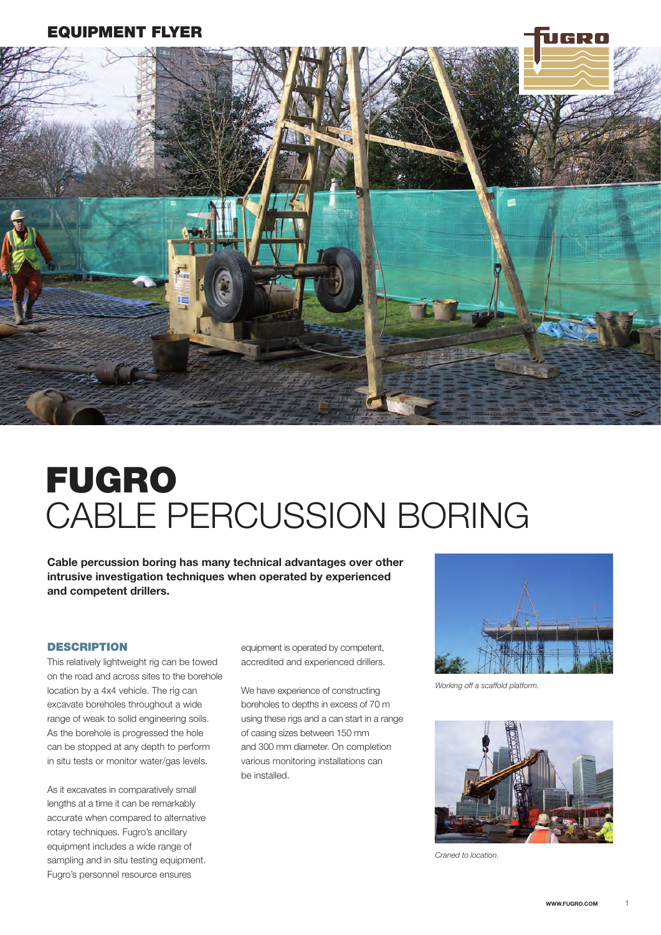### EQUIPMENT FLYER



# FUGRO CABLE PERCUSSION BORING

Cable percussion boring has many technical advantages over other intrusive investigation techniques when operated by experienced and competent drillers.

### **DESCRIPTION**

This relatively lightweight rig can be towed on the road and across sites to the borehole location by a 4x4 vehicle. The rig can excavate boreholes throughout a wide range of weak to solid engineering soils. As the borehole is progressed the hole can be stopped at any depth to perform in situ tests or monitor water/gas levels.

As it excavates in comparatively small lengths at a time it can be remarkably accurate when compared to alternative rotary techniques. Fugro's ancillary equipment includes a wide range of sampling and in situ testing equipment. Fugro's personnel resource ensures

equipment is operated by competent, accredited and experienced drillers.

We have experience of constructing boreholes to depths in excess of 70 m using these rigs and a can start in a range of casing sizes between 150 mm and 300 mm diameter. On completion various monitoring installations can be installed.



*Working off a scaffold platform.*



*Craned to location.*